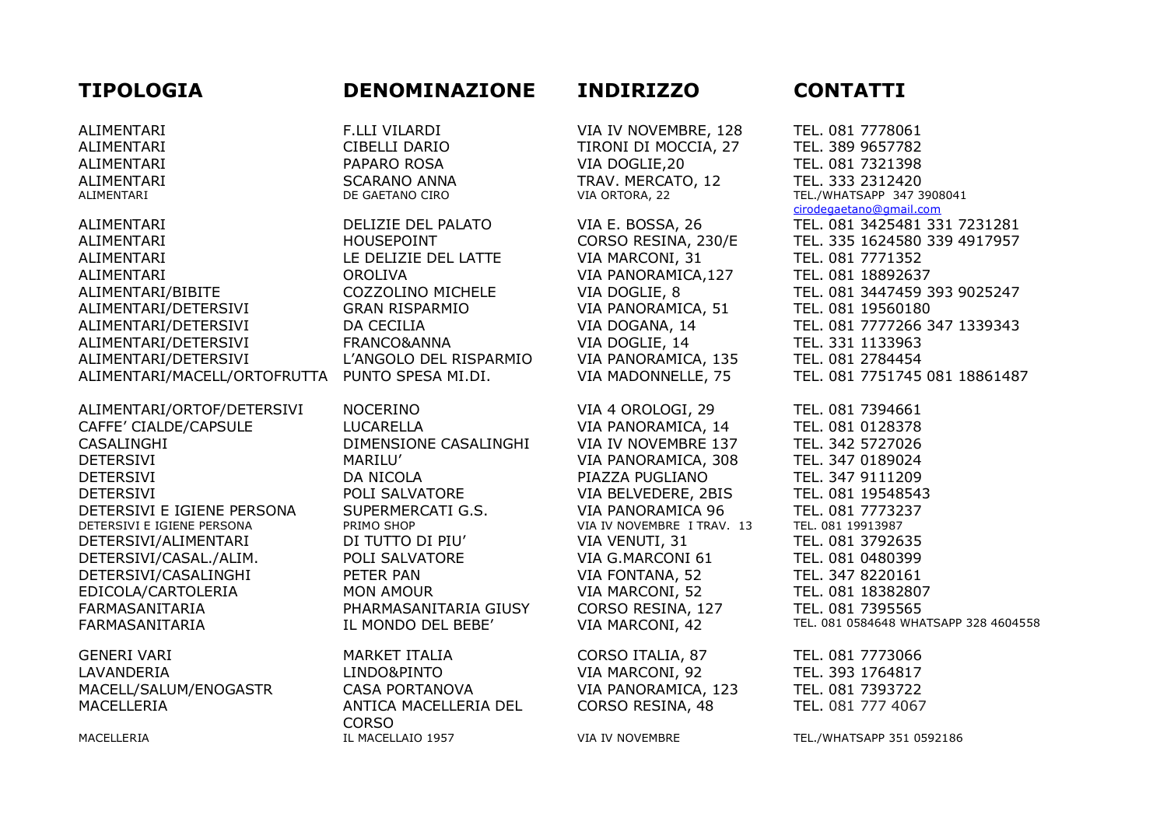# **TIPOLOGIA DENOMINAZIONE INDIRIZZO CONTATTI**

ALIMENTARI HOUSEPOINT CORSO RESINA, 230/E TEL. 335 1624580 339 4917957 ALIMENTARI LE DELIZIE DEL LATTE VIA MARCONI, 31 TEL. 081 7771352 ALIMENTARI OROLIVA VIA PANORAMICA,127 TEL. 081 18892637 ALIMENTARI/BIBITE COZZOLINO MICHELE VIA DOGLIE, 8 TEL. 081 3447459 393 9025247 ALIMENTARI/DETERSIVI GRAN RISPARMIO VIA PANORAMICA, 51 TEL. 081 19560180 ALIMENTARI/DETERSIVI DA CECILIA VIA DOGANA, 14 TEL. 081 7777266 347 1339343 ALIMENTARI/DETERSIVI FRANCO&ANNA VIA DOGLIE, 14 TEL. 331 1133963 ALIMENTARI/DETERSIVI L'ANGOLO DEL RISPARMIO VIA PANORAMICA, 135 TEL. 081 2784454 ALIMENTARI/MACELL/ORTOFRUTTA PUNTO SPESA MI.DI. VIA MADONNELLE, 75 TEL. 081 7751745 081 18861487

ALIMENTARI/ORTOF/DETERSIVI NOCERINO VIA 4 OROLOGI, 29 TEL. 081 7394661 CAFFE' CIALDE/CAPSULE LUCARELLA VIA PANORAMICA, 14 TEL. 081 0128378 CASALINGHI DIMENSIONE CASALINGHI VIA IV NOVEMBRE 137 TEL. 342 5727026 DETERSIVI MARILU' VIA PANORAMICA, 308 TEL. 347 0189024 DETERSIVI DA NICOLA PIAZZA PUGLIANO TEL. 347 9111209 DETERSIVI POLI SALVATORE VIA BELVEDERE, 2BIS TEL. 081 19548543 DETERSIVI E IGIENE PERSONA SUPERMERCATI G.S. VIA PANORAMICA 96 TEL. 081 7773237<br>DETERSIVI E IGIENE PERSONA PRIMO SHOP VIA IV NOVEMBRE I TRAV. 13 TEL. 081 19913987 DETERSIVI E IGIENE PERSONA PRIMO SHOP VIA IV NOVEMBRE I TRAV. 13 DETERSIVI/ALIMENTARI DI TUTTO DI PIU' VIA VENUTI, 31 TEL. 081 3792635 DETERSIVI/CASAL./ALIM. POLI SALVATORE VIA G.MARCONI 61 TEL. 081 0480399 DETERSIVI/CASALINGHI PETER PAN VIA FONTANA, 52 TEL. 347 8220161 EDICOLA/CARTOLERIA MON AMOUR VIA MARCONI, 52 TEL. 081 18382807 FARMASANITARIA PHARMASANITARIA GIUSY CORSO RESINA, 127 TEL. 081 7395565

GENERI VARI MARKET ITALIA CORSO ITALIA, 87 TEL. 081 7773066 LAVANDERIA LINDO&PINTO VIA MARCONI, 92 TEL. 393 1764817 MACELL/SALUM/ENOGASTR CASA PORTANOVA VIA PANORAMICA, 123 TEL. 081 7393722 MACELLERIA ANTICA MACELLERIA DEL

CORSO MACELLERIA **IL MACELLAIO 1957** VIA IV NOVEMBRE TEL./WHATSAPP 351 0592186

ALIMENTARI F.LLI VILARDI VIA IV NOVEMBRE, 128 TEL. 081 7778061 ALIMENTARI CIBELLI DARIO TIRONI DI MOCCIA, 27 TEL. 389 9657782 ALIMENTARI PAPARO ROSA VIA DOGLIE,20 TEL. 081 7321398 ALIMENTARI SCARANO ANNA TRAV. MERCATO, 12 TEL. 333 2312420

CORSO RESINA, 48 TEL. 081 777 4067

ALIMENTARI DE GAETANO CIRO VIA ORTORA, 22 TEL./WHATSAPP 347 3908041 [cirodegaetano@gmail.com](mailto:cirodegaetano@gmail.com) ALIMENTARI DELIZIE DEL PALATO VIA E. BOSSA, 26 TEL. 081 3425481 331 7231281

FARMASANITARIA IL MONDO DEL BEBE' VIA MARCONI, 42 TEL. 081 0584648 WHATSAPP 328 4604558